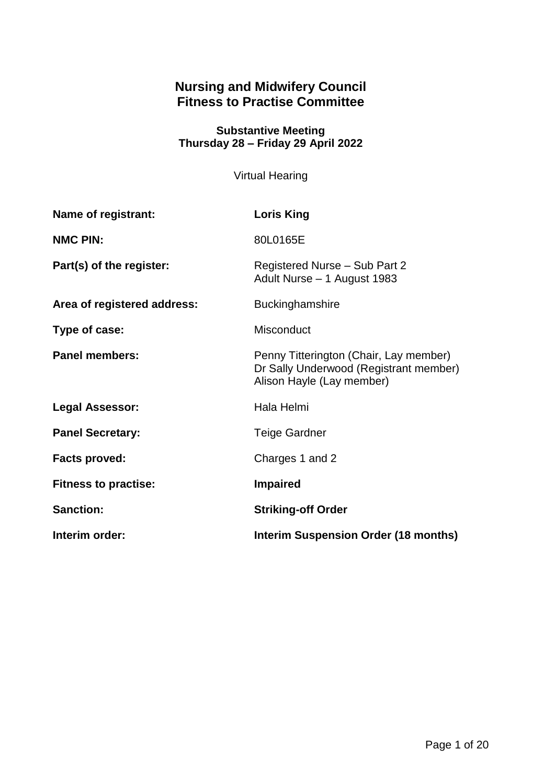# **Nursing and Midwifery Council Fitness to Practise Committee**

#### **Substantive Meeting Thursday 28 – Friday 29 April 2022**

Virtual Hearing

| Name of registrant:         | <b>Loris King</b>                                                                                             |
|-----------------------------|---------------------------------------------------------------------------------------------------------------|
| <b>NMC PIN:</b>             | 80L0165E                                                                                                      |
| Part(s) of the register:    | Registered Nurse - Sub Part 2<br>Adult Nurse - 1 August 1983                                                  |
| Area of registered address: | <b>Buckinghamshire</b>                                                                                        |
| Type of case:               | <b>Misconduct</b>                                                                                             |
| <b>Panel members:</b>       | Penny Titterington (Chair, Lay member)<br>Dr Sally Underwood (Registrant member)<br>Alison Hayle (Lay member) |
| <b>Legal Assessor:</b>      | Hala Helmi                                                                                                    |
| <b>Panel Secretary:</b>     | <b>Teige Gardner</b>                                                                                          |
| Facts proved:               | Charges 1 and 2                                                                                               |
| <b>Fitness to practise:</b> | <b>Impaired</b>                                                                                               |
| <b>Sanction:</b>            | <b>Striking-off Order</b>                                                                                     |
| Interim order:              | <b>Interim Suspension Order (18 months)</b>                                                                   |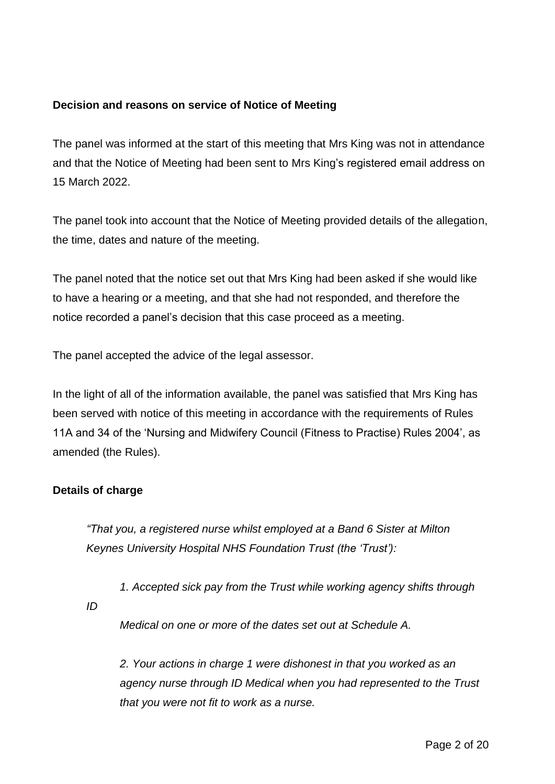## **Decision and reasons on service of Notice of Meeting**

The panel was informed at the start of this meeting that Mrs King was not in attendance and that the Notice of Meeting had been sent to Mrs King's registered email address on 15 March 2022.

The panel took into account that the Notice of Meeting provided details of the allegation, the time, dates and nature of the meeting.

The panel noted that the notice set out that Mrs King had been asked if she would like to have a hearing or a meeting, and that she had not responded, and therefore the notice recorded a panel's decision that this case proceed as a meeting.

The panel accepted the advice of the legal assessor.

In the light of all of the information available, the panel was satisfied that Mrs King has been served with notice of this meeting in accordance with the requirements of Rules 11A and 34 of the 'Nursing and Midwifery Council (Fitness to Practise) Rules 2004', as amended (the Rules).

## **Details of charge**

*"That you, a registered nurse whilst employed at a Band 6 Sister at Milton Keynes University Hospital NHS Foundation Trust (the 'Trust'):*

1. Accepted sick pay from the Trust while working agency shifts through *ID*

*Medical on one or more of the dates set out at Schedule A.*

*2. Your actions in charge 1 were dishonest in that you worked as an agency nurse through ID Medical when you had represented to the Trust that you were not fit to work as a nurse.*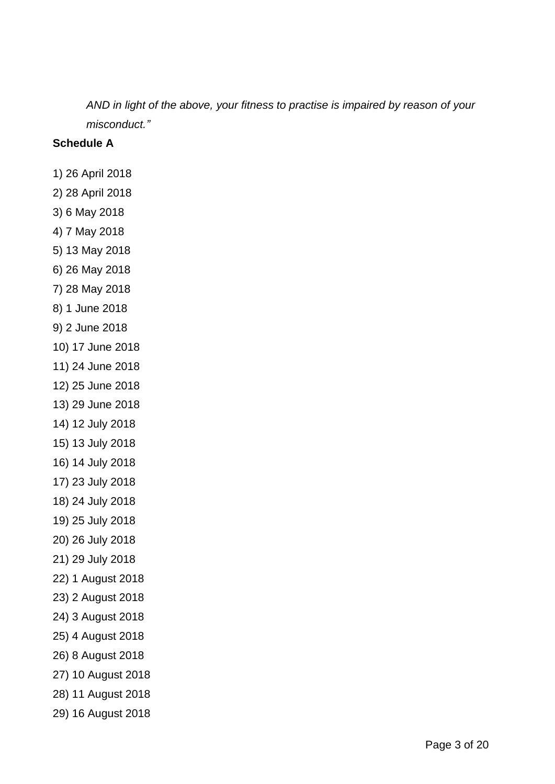*AND in light of the above, your fitness to practise is impaired by reason of your misconduct."*

### **Schedule A**

1) 26 April 2018 2) 28 April 2018 3) 6 May 2018 4) 7 May 2018 5) 13 May 2018 6) 26 May 2018 7) 28 May 2018 8) 1 June 2018 9) 2 June 2018 10) 17 June 2018 11) 24 June 2018 12) 25 June 2018 13) 29 June 2018 14) 12 July 2018 15) 13 July 2018 16) 14 July 2018 17) 23 July 2018 18) 24 July 2018 19) 25 July 2018 20) 26 July 2018 21) 29 July 2018 22) 1 August 2018 23) 2 August 2018 24) 3 August 2018 25) 4 August 2018 26) 8 August 2018 27) 10 August 2018 28) 11 August 2018 29) 16 August 2018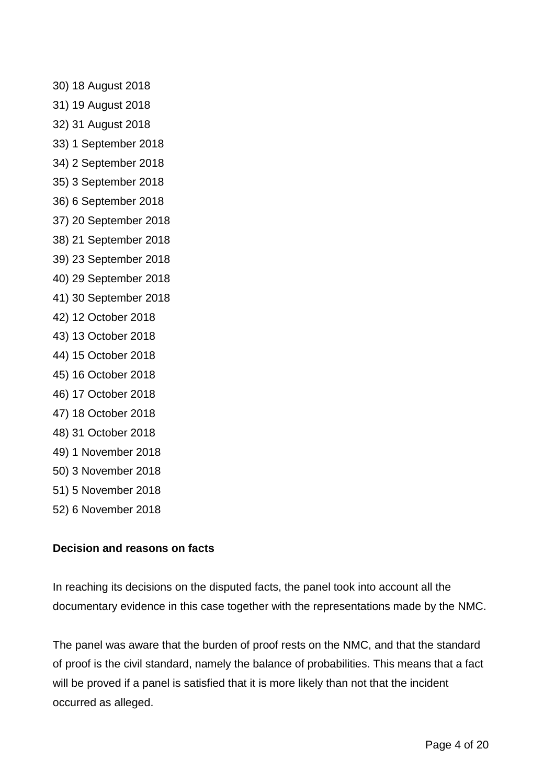- 30) 18 August 2018
- 31) 19 August 2018
- 32) 31 August 2018
- 33) 1 September 2018
- 34) 2 September 2018
- 35) 3 September 2018
- 36) 6 September 2018
- 37) 20 September 2018
- 38) 21 September 2018
- 39) 23 September 2018
- 40) 29 September 2018
- 41) 30 September 2018
- 42) 12 October 2018
- 43) 13 October 2018
- 44) 15 October 2018
- 45) 16 October 2018
- 46) 17 October 2018
- 47) 18 October 2018
- 48) 31 October 2018
- 49) 1 November 2018
- 50) 3 November 2018
- 51) 5 November 2018
- 52) 6 November 2018

### **Decision and reasons on facts**

In reaching its decisions on the disputed facts, the panel took into account all the documentary evidence in this case together with the representations made by the NMC.

The panel was aware that the burden of proof rests on the NMC, and that the standard of proof is the civil standard, namely the balance of probabilities. This means that a fact will be proved if a panel is satisfied that it is more likely than not that the incident occurred as alleged.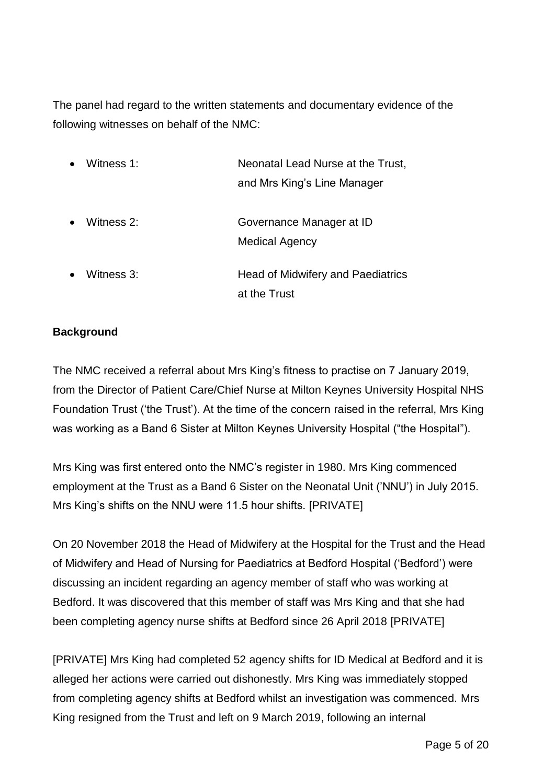The panel had regard to the written statements and documentary evidence of the following witnesses on behalf of the NMC:

| $\bullet$ | Witness 1: | Neonatal Lead Nurse at the Trust, |
|-----------|------------|-----------------------------------|
|           |            | and Mrs King's Line Manager       |
| $\bullet$ | Witness 2: | Governance Manager at ID          |
|           |            | Medical Agency                    |
|           | Witness 3: | Head of Midwifery and Paediatrics |
|           |            | at the Trust                      |

### **Background**

The NMC received a referral about Mrs King's fitness to practise on 7 January 2019, from the Director of Patient Care/Chief Nurse at Milton Keynes University Hospital NHS Foundation Trust ('the Trust'). At the time of the concern raised in the referral, Mrs King was working as a Band 6 Sister at Milton Keynes University Hospital ("the Hospital").

Mrs King was first entered onto the NMC's register in 1980. Mrs King commenced employment at the Trust as a Band 6 Sister on the Neonatal Unit ('NNU') in July 2015. Mrs King's shifts on the NNU were 11.5 hour shifts. [PRIVATE]

On 20 November 2018 the Head of Midwifery at the Hospital for the Trust and the Head of Midwifery and Head of Nursing for Paediatrics at Bedford Hospital ('Bedford') were discussing an incident regarding an agency member of staff who was working at Bedford. It was discovered that this member of staff was Mrs King and that she had been completing agency nurse shifts at Bedford since 26 April 2018 [PRIVATE]

[PRIVATE] Mrs King had completed 52 agency shifts for ID Medical at Bedford and it is alleged her actions were carried out dishonestly. Mrs King was immediately stopped from completing agency shifts at Bedford whilst an investigation was commenced. Mrs King resigned from the Trust and left on 9 March 2019, following an internal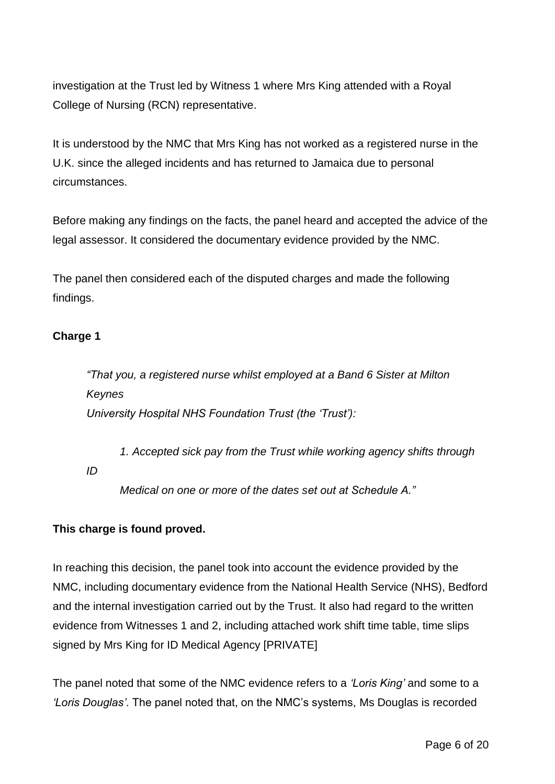investigation at the Trust led by Witness 1 where Mrs King attended with a Royal College of Nursing (RCN) representative.

It is understood by the NMC that Mrs King has not worked as a registered nurse in the U.K. since the alleged incidents and has returned to Jamaica due to personal circumstances.

Before making any findings on the facts, the panel heard and accepted the advice of the legal assessor. It considered the documentary evidence provided by the NMC.

The panel then considered each of the disputed charges and made the following findings.

### **Charge 1**

*"That you, a registered nurse whilst employed at a Band 6 Sister at Milton Keynes University Hospital NHS Foundation Trust (the 'Trust'):*

1. Accepted sick pay from the Trust while working agency shifts through *ID*

*Medical on one or more of the dates set out at Schedule A."*

## **This charge is found proved.**

In reaching this decision, the panel took into account the evidence provided by the NMC, including documentary evidence from the National Health Service (NHS), Bedford and the internal investigation carried out by the Trust. It also had regard to the written evidence from Witnesses 1 and 2, including attached work shift time table, time slips signed by Mrs King for ID Medical Agency [PRIVATE]

The panel noted that some of the NMC evidence refers to a *'Loris King'* and some to a *'Loris Douglas'*. The panel noted that, on the NMC's systems, Ms Douglas is recorded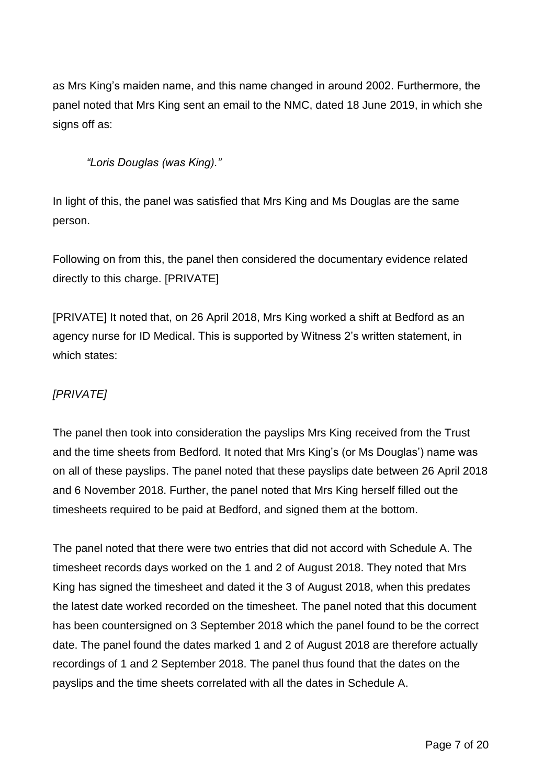as Mrs King's maiden name, and this name changed in around 2002. Furthermore, the panel noted that Mrs King sent an email to the NMC, dated 18 June 2019, in which she signs off as:

*"Loris Douglas (was King)."*

In light of this, the panel was satisfied that Mrs King and Ms Douglas are the same person.

Following on from this, the panel then considered the documentary evidence related directly to this charge. [PRIVATE]

[PRIVATE] It noted that, on 26 April 2018, Mrs King worked a shift at Bedford as an agency nurse for ID Medical. This is supported by Witness 2's written statement, in which states:

# *[PRIVATE]*

The panel then took into consideration the payslips Mrs King received from the Trust and the time sheets from Bedford. It noted that Mrs King's (or Ms Douglas') name was on all of these payslips. The panel noted that these payslips date between 26 April 2018 and 6 November 2018. Further, the panel noted that Mrs King herself filled out the timesheets required to be paid at Bedford, and signed them at the bottom.

The panel noted that there were two entries that did not accord with Schedule A. The timesheet records days worked on the 1 and 2 of August 2018. They noted that Mrs King has signed the timesheet and dated it the 3 of August 2018, when this predates the latest date worked recorded on the timesheet. The panel noted that this document has been countersigned on 3 September 2018 which the panel found to be the correct date. The panel found the dates marked 1 and 2 of August 2018 are therefore actually recordings of 1 and 2 September 2018. The panel thus found that the dates on the payslips and the time sheets correlated with all the dates in Schedule A.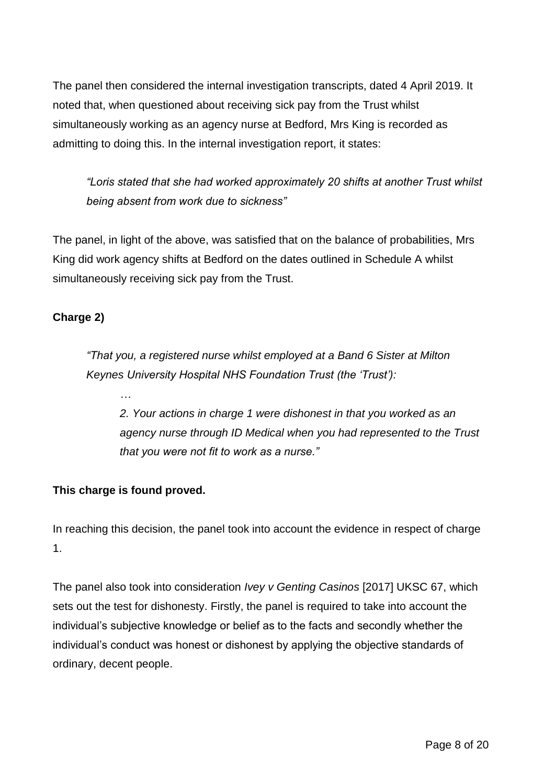The panel then considered the internal investigation transcripts, dated 4 April 2019. It noted that, when questioned about receiving sick pay from the Trust whilst simultaneously working as an agency nurse at Bedford, Mrs King is recorded as admitting to doing this. In the internal investigation report, it states:

*"Loris stated that she had worked approximately 20 shifts at another Trust whilst being absent from work due to sickness"*

The panel, in light of the above, was satisfied that on the balance of probabilities, Mrs King did work agency shifts at Bedford on the dates outlined in Schedule A whilst simultaneously receiving sick pay from the Trust.

## **Charge 2)**

*"That you, a registered nurse whilst employed at a Band 6 Sister at Milton Keynes University Hospital NHS Foundation Trust (the 'Trust'):*

*2. Your actions in charge 1 were dishonest in that you worked as an agency nurse through ID Medical when you had represented to the Trust that you were not fit to work as a nurse."*

## **This charge is found proved.**

*…*

In reaching this decision, the panel took into account the evidence in respect of charge 1.

The panel also took into consideration *Ivey v Genting Casinos* [2017] UKSC 67, which sets out the test for dishonesty. Firstly, the panel is required to take into account the individual's subjective knowledge or belief as to the facts and secondly whether the individual's conduct was honest or dishonest by applying the objective standards of ordinary, decent people.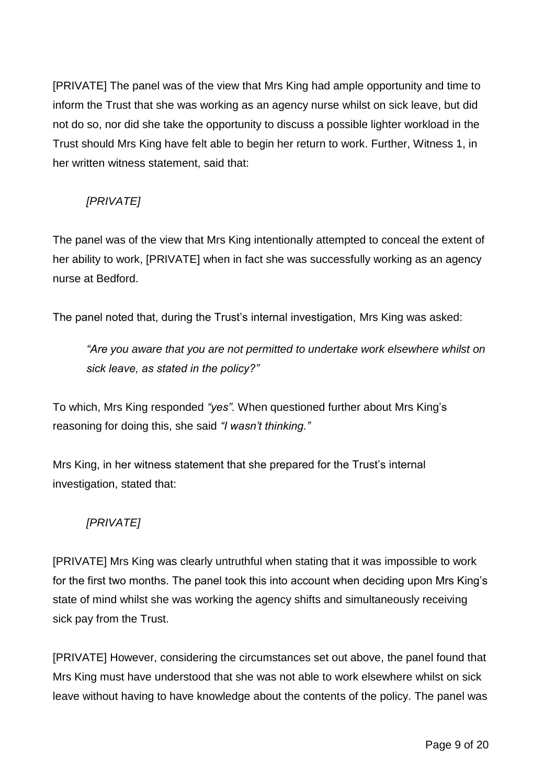[PRIVATE] The panel was of the view that Mrs King had ample opportunity and time to inform the Trust that she was working as an agency nurse whilst on sick leave, but did not do so, nor did she take the opportunity to discuss a possible lighter workload in the Trust should Mrs King have felt able to begin her return to work. Further, Witness 1, in her written witness statement, said that:

# *[PRIVATE]*

The panel was of the view that Mrs King intentionally attempted to conceal the extent of her ability to work, [PRIVATE] when in fact she was successfully working as an agency nurse at Bedford.

The panel noted that, during the Trust's internal investigation, Mrs King was asked:

*"Are you aware that you are not permitted to undertake work elsewhere whilst on sick leave, as stated in the policy?"*

To which, Mrs King responded *"yes".* When questioned further about Mrs King's reasoning for doing this, she said *"I wasn't thinking."*

Mrs King, in her witness statement that she prepared for the Trust's internal investigation, stated that:

# *[PRIVATE]*

[PRIVATE] Mrs King was clearly untruthful when stating that it was impossible to work for the first two months. The panel took this into account when deciding upon Mrs King's state of mind whilst she was working the agency shifts and simultaneously receiving sick pay from the Trust.

[PRIVATE] However, considering the circumstances set out above, the panel found that Mrs King must have understood that she was not able to work elsewhere whilst on sick leave without having to have knowledge about the contents of the policy. The panel was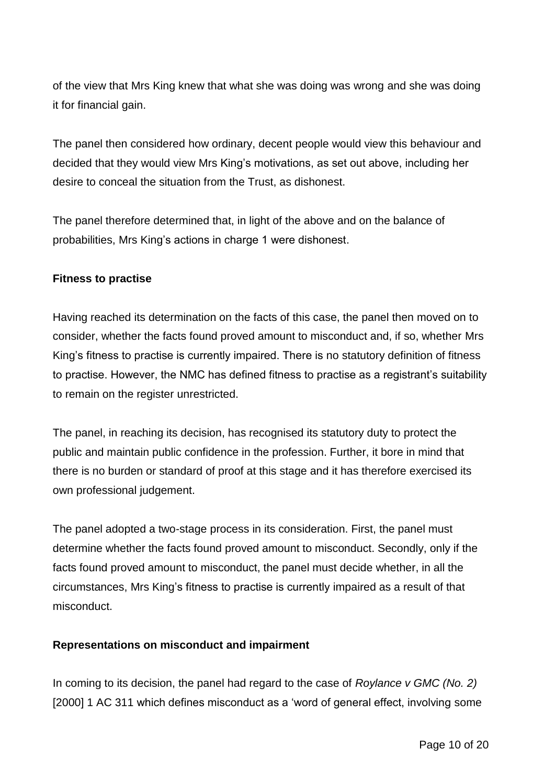of the view that Mrs King knew that what she was doing was wrong and she was doing it for financial gain.

The panel then considered how ordinary, decent people would view this behaviour and decided that they would view Mrs King's motivations, as set out above, including her desire to conceal the situation from the Trust, as dishonest.

The panel therefore determined that, in light of the above and on the balance of probabilities, Mrs King's actions in charge 1 were dishonest.

#### **Fitness to practise**

Having reached its determination on the facts of this case, the panel then moved on to consider, whether the facts found proved amount to misconduct and, if so, whether Mrs King's fitness to practise is currently impaired. There is no statutory definition of fitness to practise. However, the NMC has defined fitness to practise as a registrant's suitability to remain on the register unrestricted.

The panel, in reaching its decision, has recognised its statutory duty to protect the public and maintain public confidence in the profession. Further, it bore in mind that there is no burden or standard of proof at this stage and it has therefore exercised its own professional judgement.

The panel adopted a two-stage process in its consideration. First, the panel must determine whether the facts found proved amount to misconduct. Secondly, only if the facts found proved amount to misconduct, the panel must decide whether, in all the circumstances, Mrs King's fitness to practise is currently impaired as a result of that misconduct.

#### **Representations on misconduct and impairment**

In coming to its decision, the panel had regard to the case of *Roylance v GMC (No. 2)*  [2000] 1 AC 311 which defines misconduct as a 'word of general effect, involving some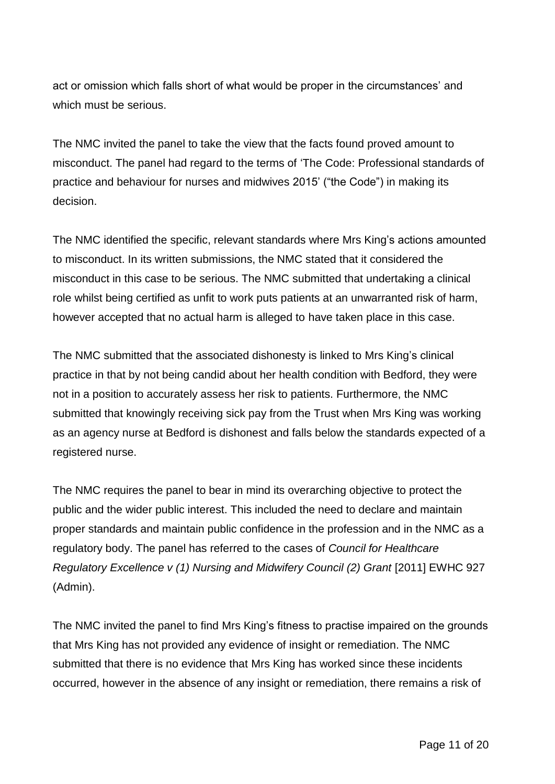act or omission which falls short of what would be proper in the circumstances' and which must be serious.

The NMC invited the panel to take the view that the facts found proved amount to misconduct. The panel had regard to the terms of 'The Code: Professional standards of practice and behaviour for nurses and midwives 2015' ("the Code") in making its decision.

The NMC identified the specific, relevant standards where Mrs King's actions amounted to misconduct. In its written submissions, the NMC stated that it considered the misconduct in this case to be serious. The NMC submitted that undertaking a clinical role whilst being certified as unfit to work puts patients at an unwarranted risk of harm, however accepted that no actual harm is alleged to have taken place in this case.

The NMC submitted that the associated dishonesty is linked to Mrs King's clinical practice in that by not being candid about her health condition with Bedford, they were not in a position to accurately assess her risk to patients. Furthermore, the NMC submitted that knowingly receiving sick pay from the Trust when Mrs King was working as an agency nurse at Bedford is dishonest and falls below the standards expected of a registered nurse.

The NMC requires the panel to bear in mind its overarching objective to protect the public and the wider public interest. This included the need to declare and maintain proper standards and maintain public confidence in the profession and in the NMC as a regulatory body. The panel has referred to the cases of *Council for Healthcare Regulatory Excellence v (1) Nursing and Midwifery Council (2) Grant [2011] EWHC 927* (Admin).

The NMC invited the panel to find Mrs King's fitness to practise impaired on the grounds that Mrs King has not provided any evidence of insight or remediation. The NMC submitted that there is no evidence that Mrs King has worked since these incidents occurred, however in the absence of any insight or remediation, there remains a risk of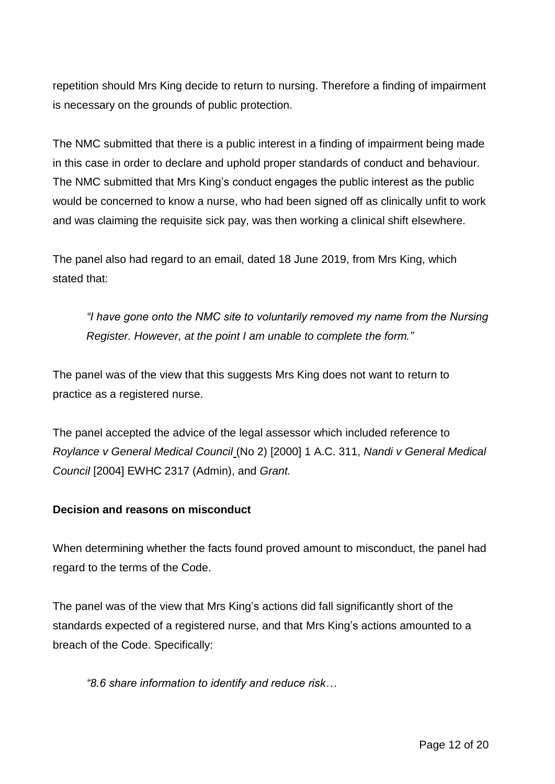repetition should Mrs King decide to return to nursing. Therefore a finding of impairment is necessary on the grounds of public protection.

The NMC submitted that there is a public interest in a finding of impairment being made in this case in order to declare and uphold proper standards of conduct and behaviour. The NMC submitted that Mrs King's conduct engages the public interest as the public would be concerned to know a nurse, who had been signed off as clinically unfit to work and was claiming the requisite sick pay, was then working a clinical shift elsewhere.

The panel also had regard to an email, dated 18 June 2019, from Mrs King, which stated that:

*"I have gone onto the NMC site to voluntarily removed my name from the Nursing Register. However, at the point I am unable to complete the form."*

The panel was of the view that this suggests Mrs King does not want to return to practice as a registered nurse.

The panel accepted the advice of the legal assessor which included reference to *Roylance v General Medical Council* (No 2) [2000] 1 A.C. 311, *Nandi v General Medical Council* [2004] EWHC 2317 (Admin), and *Grant.* 

## **Decision and reasons on misconduct**

When determining whether the facts found proved amount to misconduct, the panel had regard to the terms of the Code.

The panel was of the view that Mrs King's actions did fall significantly short of the standards expected of a registered nurse, and that Mrs King's actions amounted to a breach of the Code. Specifically:

*"8.6 share information to identify and reduce risk…*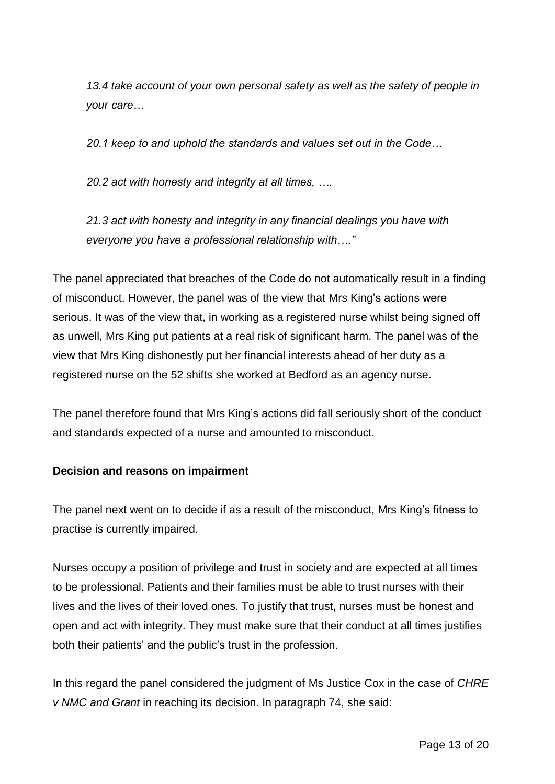*13.4 take account of your own personal safety as well as the safety of people in your care…*

*20.1 keep to and uphold the standards and values set out in the Code…*

*20.2 act with honesty and integrity at all times, ….*

*21.3 act with honesty and integrity in any financial dealings you have with everyone you have a professional relationship with…."*

The panel appreciated that breaches of the Code do not automatically result in a finding of misconduct. However, the panel was of the view that Mrs King's actions were serious. It was of the view that, in working as a registered nurse whilst being signed off as unwell, Mrs King put patients at a real risk of significant harm. The panel was of the view that Mrs King dishonestly put her financial interests ahead of her duty as a registered nurse on the 52 shifts she worked at Bedford as an agency nurse.

The panel therefore found that Mrs King's actions did fall seriously short of the conduct and standards expected of a nurse and amounted to misconduct.

## **Decision and reasons on impairment**

The panel next went on to decide if as a result of the misconduct, Mrs King's fitness to practise is currently impaired.

Nurses occupy a position of privilege and trust in society and are expected at all times to be professional. Patients and their families must be able to trust nurses with their lives and the lives of their loved ones. To justify that trust, nurses must be honest and open and act with integrity. They must make sure that their conduct at all times justifies both their patients' and the public's trust in the profession.

In this regard the panel considered the judgment of Ms Justice Cox in the case of *CHRE v NMC and Grant* in reaching its decision. In paragraph 74, she said: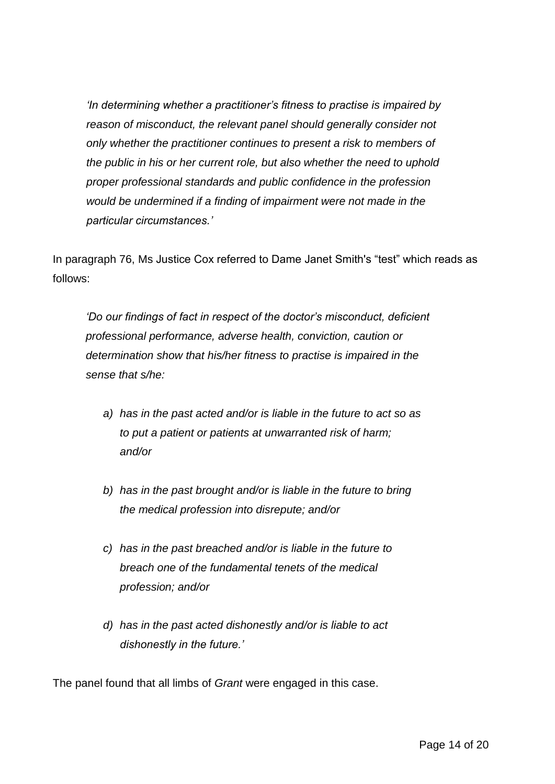*'In determining whether a practitioner's fitness to practise is impaired by reason of misconduct, the relevant panel should generally consider not only whether the practitioner continues to present a risk to members of the public in his or her current role, but also whether the need to uphold proper professional standards and public confidence in the profession would be undermined if a finding of impairment were not made in the particular circumstances.'*

In paragraph 76, Ms Justice Cox referred to Dame Janet Smith's "test" which reads as follows:

*'Do our findings of fact in respect of the doctor's misconduct, deficient professional performance, adverse health, conviction, caution or determination show that his/her fitness to practise is impaired in the sense that s/he:*

- *a) has in the past acted and/or is liable in the future to act so as to put a patient or patients at unwarranted risk of harm; and/or*
- *b) has in the past brought and/or is liable in the future to bring the medical profession into disrepute; and/or*
- *c) has in the past breached and/or is liable in the future to breach one of the fundamental tenets of the medical profession; and/or*
- *d) has in the past acted dishonestly and/or is liable to act dishonestly in the future.'*

The panel found that all limbs of *Grant* were engaged in this case.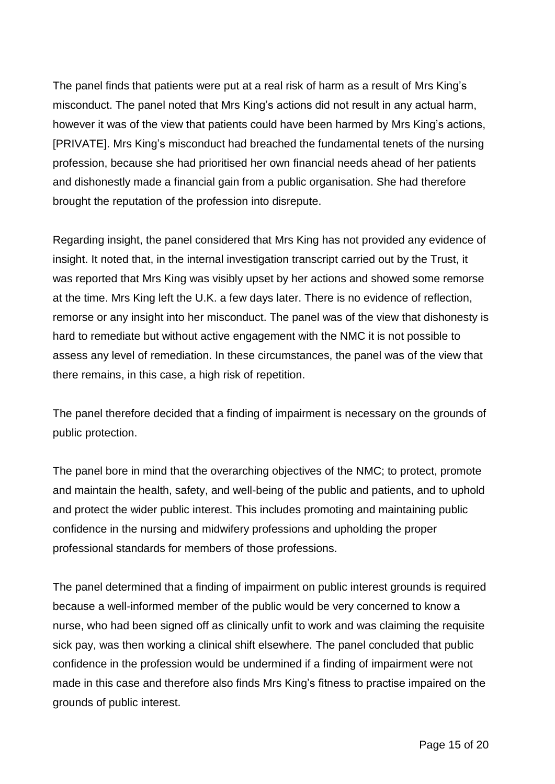The panel finds that patients were put at a real risk of harm as a result of Mrs King's misconduct. The panel noted that Mrs King's actions did not result in any actual harm, however it was of the view that patients could have been harmed by Mrs King's actions, [PRIVATE]. Mrs King's misconduct had breached the fundamental tenets of the nursing profession, because she had prioritised her own financial needs ahead of her patients and dishonestly made a financial gain from a public organisation. She had therefore brought the reputation of the profession into disrepute.

Regarding insight, the panel considered that Mrs King has not provided any evidence of insight. It noted that, in the internal investigation transcript carried out by the Trust, it was reported that Mrs King was visibly upset by her actions and showed some remorse at the time. Mrs King left the U.K. a few days later. There is no evidence of reflection, remorse or any insight into her misconduct. The panel was of the view that dishonesty is hard to remediate but without active engagement with the NMC it is not possible to assess any level of remediation. In these circumstances, the panel was of the view that there remains, in this case, a high risk of repetition.

The panel therefore decided that a finding of impairment is necessary on the grounds of public protection.

The panel bore in mind that the overarching objectives of the NMC; to protect, promote and maintain the health, safety, and well-being of the public and patients, and to uphold and protect the wider public interest. This includes promoting and maintaining public confidence in the nursing and midwifery professions and upholding the proper professional standards for members of those professions.

The panel determined that a finding of impairment on public interest grounds is required because a well-informed member of the public would be very concerned to know a nurse, who had been signed off as clinically unfit to work and was claiming the requisite sick pay, was then working a clinical shift elsewhere. The panel concluded that public confidence in the profession would be undermined if a finding of impairment were not made in this case and therefore also finds Mrs King's fitness to practise impaired on the grounds of public interest.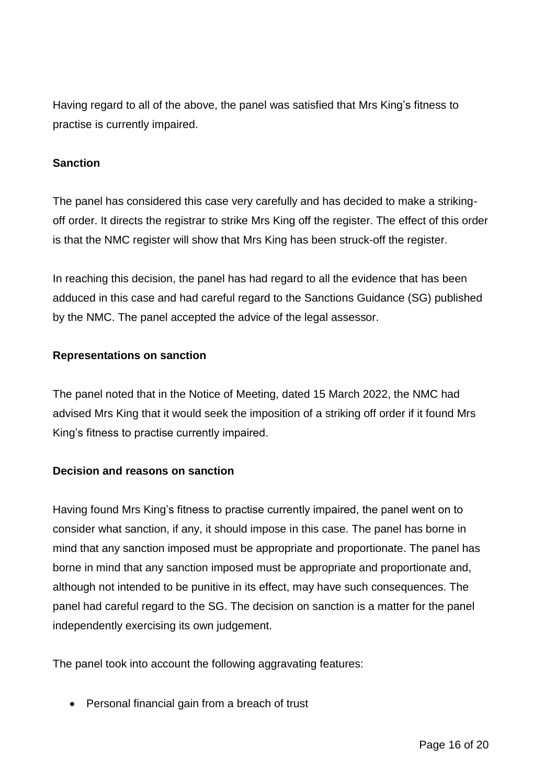Having regard to all of the above, the panel was satisfied that Mrs King's fitness to practise is currently impaired.

### **Sanction**

The panel has considered this case very carefully and has decided to make a strikingoff order. It directs the registrar to strike Mrs King off the register. The effect of this order is that the NMC register will show that Mrs King has been struck-off the register.

In reaching this decision, the panel has had regard to all the evidence that has been adduced in this case and had careful regard to the Sanctions Guidance (SG) published by the NMC. The panel accepted the advice of the legal assessor.

### **Representations on sanction**

The panel noted that in the Notice of Meeting, dated 15 March 2022, the NMC had advised Mrs King that it would seek the imposition of a striking off order if it found Mrs King's fitness to practise currently impaired.

## **Decision and reasons on sanction**

Having found Mrs King's fitness to practise currently impaired, the panel went on to consider what sanction, if any, it should impose in this case. The panel has borne in mind that any sanction imposed must be appropriate and proportionate. The panel has borne in mind that any sanction imposed must be appropriate and proportionate and, although not intended to be punitive in its effect, may have such consequences. The panel had careful regard to the SG. The decision on sanction is a matter for the panel independently exercising its own judgement.

The panel took into account the following aggravating features:

• Personal financial gain from a breach of trust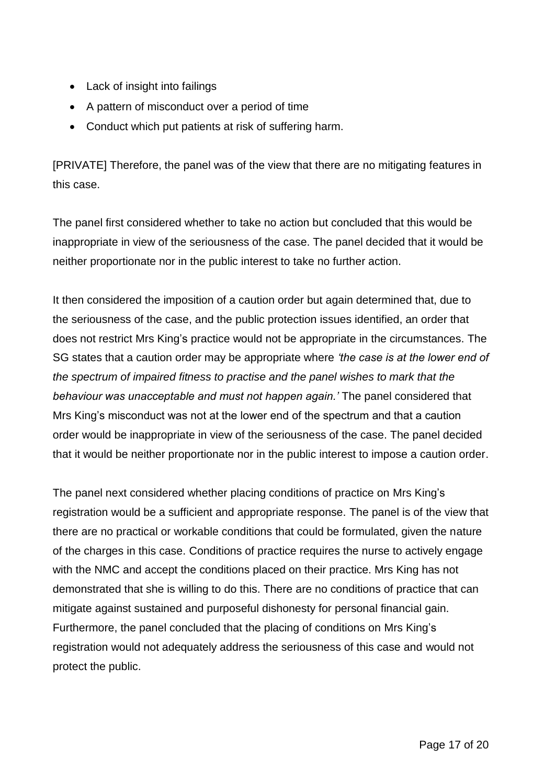- Lack of insight into failings
- A pattern of misconduct over a period of time
- Conduct which put patients at risk of suffering harm.

[PRIVATE] Therefore, the panel was of the view that there are no mitigating features in this case.

The panel first considered whether to take no action but concluded that this would be inappropriate in view of the seriousness of the case. The panel decided that it would be neither proportionate nor in the public interest to take no further action.

It then considered the imposition of a caution order but again determined that, due to the seriousness of the case, and the public protection issues identified, an order that does not restrict Mrs King's practice would not be appropriate in the circumstances. The SG states that a caution order may be appropriate where *'the case is at the lower end of the spectrum of impaired fitness to practise and the panel wishes to mark that the behaviour was unacceptable and must not happen again.'* The panel considered that Mrs King's misconduct was not at the lower end of the spectrum and that a caution order would be inappropriate in view of the seriousness of the case. The panel decided that it would be neither proportionate nor in the public interest to impose a caution order.

The panel next considered whether placing conditions of practice on Mrs King's registration would be a sufficient and appropriate response. The panel is of the view that there are no practical or workable conditions that could be formulated, given the nature of the charges in this case. Conditions of practice requires the nurse to actively engage with the NMC and accept the conditions placed on their practice. Mrs King has not demonstrated that she is willing to do this. There are no conditions of practice that can mitigate against sustained and purposeful dishonesty for personal financial gain. Furthermore, the panel concluded that the placing of conditions on Mrs King's registration would not adequately address the seriousness of this case and would not protect the public.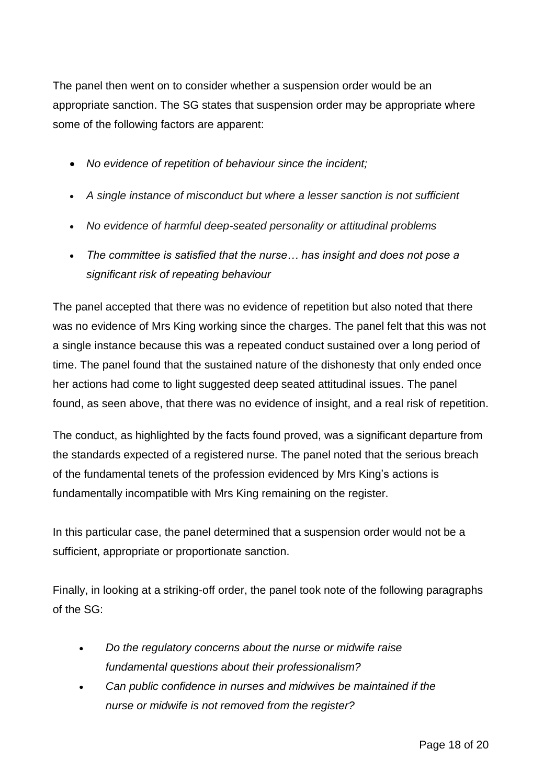The panel then went on to consider whether a suspension order would be an appropriate sanction. The SG states that suspension order may be appropriate where some of the following factors are apparent:

- *No evidence of repetition of behaviour since the incident;*
- *A single instance of misconduct but where a lesser sanction is not sufficient*
- *No evidence of harmful deep-seated personality or attitudinal problems*
- *The committee is satisfied that the nurse… has insight and does not pose a significant risk of repeating behaviour*

The panel accepted that there was no evidence of repetition but also noted that there was no evidence of Mrs King working since the charges. The panel felt that this was not a single instance because this was a repeated conduct sustained over a long period of time. The panel found that the sustained nature of the dishonesty that only ended once her actions had come to light suggested deep seated attitudinal issues. The panel found, as seen above, that there was no evidence of insight, and a real risk of repetition.

The conduct, as highlighted by the facts found proved, was a significant departure from the standards expected of a registered nurse. The panel noted that the serious breach of the fundamental tenets of the profession evidenced by Mrs King's actions is fundamentally incompatible with Mrs King remaining on the register.

In this particular case, the panel determined that a suspension order would not be a sufficient, appropriate or proportionate sanction.

Finally, in looking at a striking-off order, the panel took note of the following paragraphs of the SG:

- *Do the regulatory concerns about the nurse or midwife raise fundamental questions about their professionalism?*
- *Can public confidence in nurses and midwives be maintained if the nurse or midwife is not removed from the register?*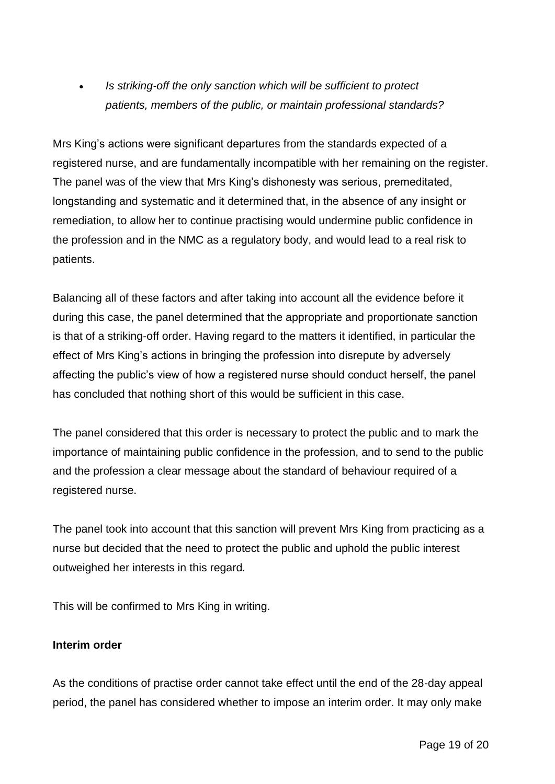# *Is striking-off the only sanction which will be sufficient to protect patients, members of the public, or maintain professional standards?*

Mrs King's actions were significant departures from the standards expected of a registered nurse, and are fundamentally incompatible with her remaining on the register. The panel was of the view that Mrs King's dishonesty was serious, premeditated, longstanding and systematic and it determined that, in the absence of any insight or remediation, to allow her to continue practising would undermine public confidence in the profession and in the NMC as a regulatory body, and would lead to a real risk to patients.

Balancing all of these factors and after taking into account all the evidence before it during this case, the panel determined that the appropriate and proportionate sanction is that of a striking-off order. Having regard to the matters it identified, in particular the effect of Mrs King's actions in bringing the profession into disrepute by adversely affecting the public's view of how a registered nurse should conduct herself, the panel has concluded that nothing short of this would be sufficient in this case.

The panel considered that this order is necessary to protect the public and to mark the importance of maintaining public confidence in the profession, and to send to the public and the profession a clear message about the standard of behaviour required of a registered nurse.

The panel took into account that this sanction will prevent Mrs King from practicing as a nurse but decided that the need to protect the public and uphold the public interest outweighed her interests in this regard.

This will be confirmed to Mrs King in writing.

#### **Interim order**

As the conditions of practise order cannot take effect until the end of the 28-day appeal period, the panel has considered whether to impose an interim order. It may only make